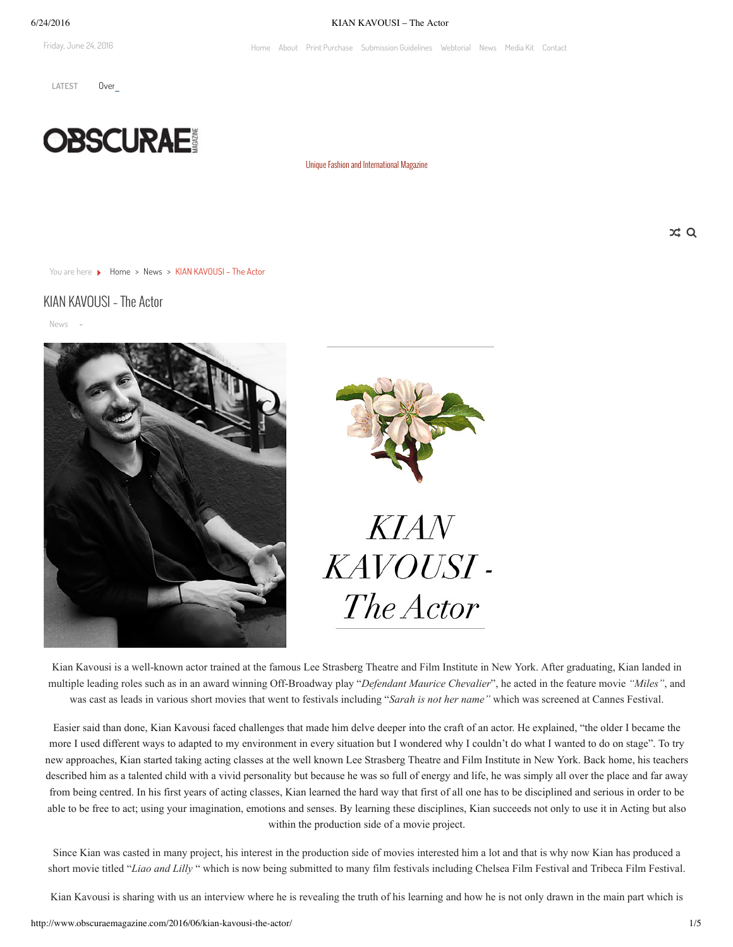Friday, June 24, 2016

#### 6/24/2016 KIAN KAVOUSI – The Actor

[Home](http://www.obscuraemagazine.com/) [About](http://www.obscuraemagazine.com/about/) Print [Purchase](http://www.obscuraemagazine.com/magazinepurchase/) [Submission](http://www.obscuraemagazine.com/submission-guidelines/) Guidelines [Webtorial](http://www.obscuraemagazine.com/webtorial/) [News](http://www.obscuraemagazine.com/news/) [Media](http://www.obscuraemagazine.com/mediakit/) Kit [Contact](http://www.obscuraemagazine.com/contact/)

LATEST Over



Unique Fashion and [International](http://www.obscuraemagazine.com/) Magazine

 $x \alpha$ 

You are here  $\longrightarrow$  Home  $\rightarrow$  [News](http://www.obscuraemagazine.com/category/news/)  $\rightarrow$  KIAN KAVOUSI – The Actor

# KIAN KAVOUSI – The Actor

[News](http://www.obscuraemagazine.com/category/news/) -





Kian Kavousi is a well-known actor trained at the famous Lee Strasberg Theatre and Film Institute in New York. After graduating, Kian landed in multiple leading roles such as in an award winning Off-Broadway play "*Defendant Maurice Chevalier*", he acted in the feature movie "*Miles*", and was cast as leads in various short movies that went to festivals including "*Sarah is not her name"* which was screened at Cannes Festival.

Easier said than done, Kian Kavousi faced challenges that made him delve deeper into the craft of an actor. He explained, "the older I became the more I used different ways to adapted to my environment in every situation but I wondered why I couldn't do what I wanted to do on stage". To try new approaches, Kian started taking acting classes at the well known Lee Strasberg Theatre and Film Institute in New York. Back home, his teachers described him as a talented child with a vivid personality but because he was so full of energy and life, he was simply all over the place and far away from being centred. In his first years of acting classes, Kian learned the hard way that first of all one has to be disciplined and serious in order to be able to be free to act; using your imagination, emotions and senses. By learning these disciplines, Kian succeeds not only to use it in Acting but also within the production side of a movie project.

Since Kian was casted in many project, his interest in the production side of movies interested him a lot and that is why now Kian has produced a short movie titled "*Liao and Lilly* " which is now being submitted to many film festivals including Chelsea Film Festival and Tribeca Film Festival.

Kian Kavousi is sharing with us an interview where he is revealing the truth of his learning and how he is not only drawn in the main part which is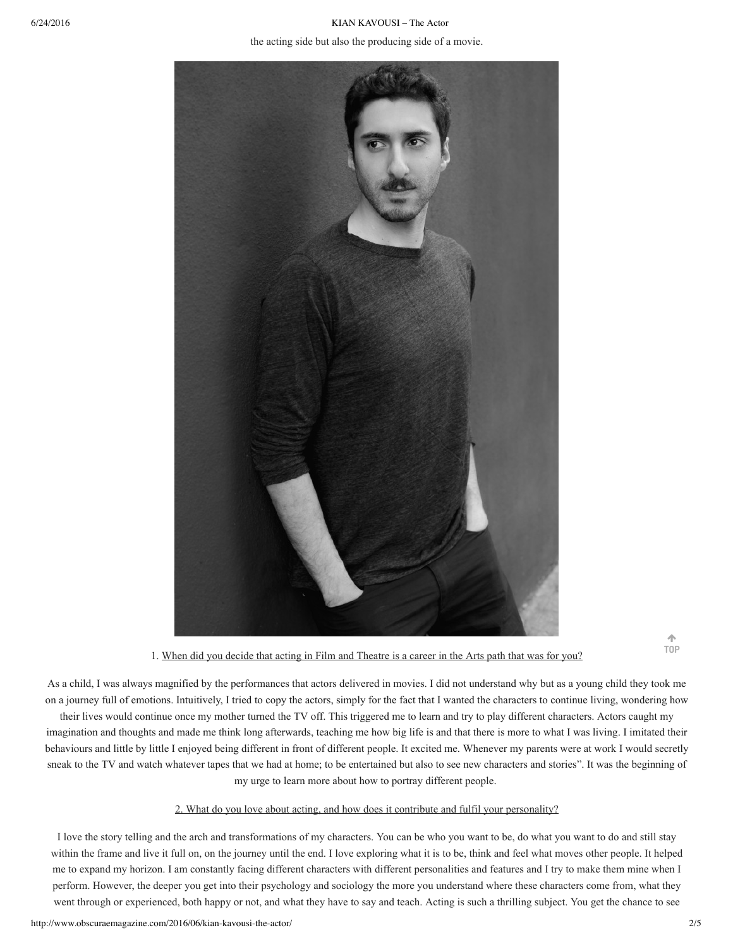6/24/2016 KIAN KAVOUSI – The Actor the acting side but also the producing side of a movie.



1. When did you decide that acting in Film and Theatre is a career in the Arts path that was for you?

As a child, I was always magnified by the performances that actors delivered in movies. I did not understand why but as a young child they took me on a journey full of emotions. Intuitively, I tried to copy the actors, simply for the fact that I wanted the characters to continue living, wondering how

their lives would continue once my mother turned the TV off. This triggered me to learn and try to play different characters. Actors caught my imagination and thoughts and made me think long afterwards, teaching me how big life is and that there is more to what I was living. I imitated their behaviours and little by little I enjoyed being different in front of different people. It excited me. Whenever my parents were at work I would secretly sneak to the TV and watch whatever tapes that we had at home; to be entertained but also to see new characters and stories". It was the beginning of my urge to learn more about how to portray different people.

# 2. What do you love about acting, and how does it contribute and fulfil your personality?

I love the story telling and the arch and transformations of my characters. You can be who you want to be, do what you want to do and still stay within the frame and live it full on, on the journey until the end. I love exploring what it is to be, think and feel what moves other people. It helped me to expand my horizon. I am constantly facing different characters with different personalities and features and I try to make them mine when I perform. However, the deeper you get into their psychology and sociology the more you understand where these characters come from, what they went through or experienced, both happy or not, and what they have to say and teach. Acting is such a thrilling subject. You get the chance to see

不 **TOP**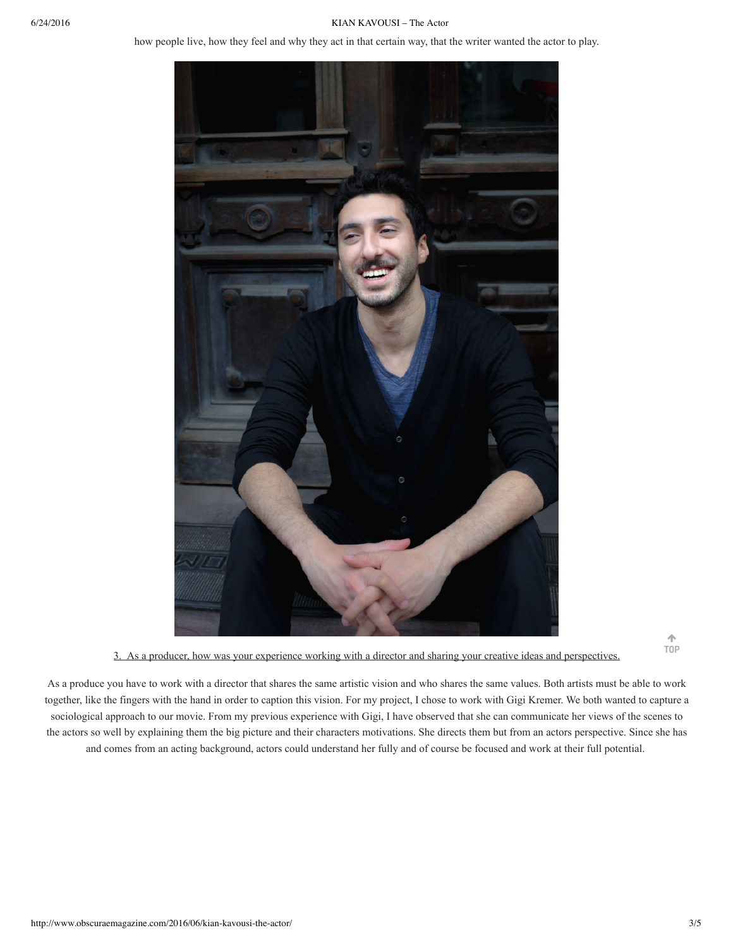### 6/24/2016 KIAN KAVOUSI – The Actor

how people live, how they feel and why they act in that certain way, that the writer wanted the actor to play.



3. As a producer, how was your experience working with a director and sharing your creative ideas and perspectives.

不 **TOP**

As a produce you have to work with a director that shares the same artistic vision and who shares the same values. Both artists must be able to work together, like the fingers with the hand in order to caption this vision. For my project, I chose to work with Gigi Kremer. We both wanted to capture a sociological approach to our movie. From my previous experience with Gigi, I have observed that she can communicate her views of the scenes to the actors so well by explaining them the big picture and their characters motivations. She directs them but from an actors perspective. Since she has and comes from an acting background, actors could understand her fully and of course be focused and work at their full potential.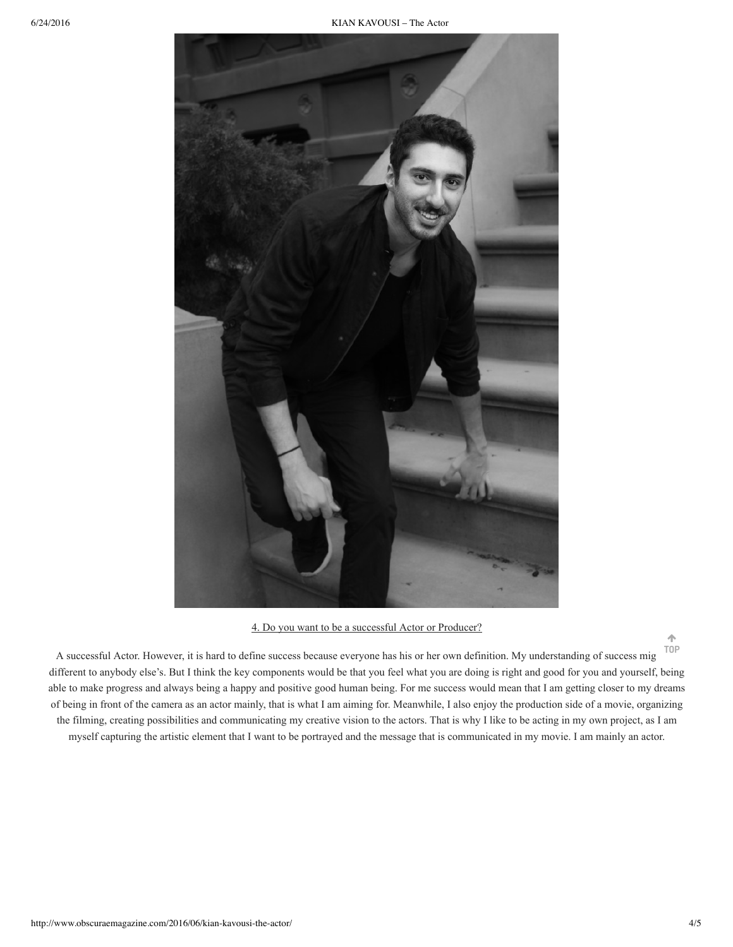6/24/2016 KIAN KAVOUSI – The Actor



4. Do you want to be a successful Actor or Producer?

A successful Actor. However, it is hard to define success because everyone has his or her own definition. My understanding of success mig different to anybody else's. But I think the key components would be that you feel what you are doing is right and good for you and yourself, being able to make progress and always being a happy and positive good human being. For me success would mean that I am getting closer to my dreams of being in front of the camera as an actor mainly, that is what I am aiming for. Meanwhile, I also enjoy the production side of a movie, organizing the filming, creating possibilities and communicating my creative vision to the actors. That is why I like to be acting in my own project, as I am myself capturing the artistic element that I want to be portrayed and the message that is communicated in my movie. I am mainly an actor. **TOP**

个